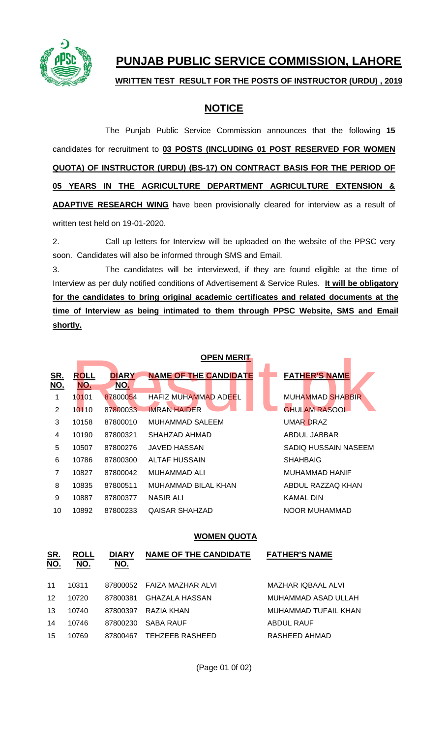

# **PUNJAB PUBLIC SERVICE COMMISSION, LAHORE**

## **WRITTEN TEST RESULT FOR THE POSTS OF INSTRUCTOR (URDU) , 2019**

# **NOTICE**

The Punjab Public Service Commission announces that the following **15**  candidates for recruitment to **03 POSTS (INCLUDING 01 POST RESERVED FOR WOMEN QUOTA) OF INSTRUCTOR (URDU) (BS-17) ON CONTRACT BASIS FOR THE PERIOD OF 05 YEARS IN THE AGRICULTURE DEPARTMENT AGRICULTURE EXTENSION & ADAPTIVE RESEARCH WING** have been provisionally cleared for interview as a result of written test held on 19-01-2020.

2. Call up letters for Interview will be uploaded on the website of the PPSC very soon. Candidates will also be informed through SMS and Email.

3. The candidates will be interviewed, if they are found eligible at the time of Interview as per duly notified conditions of Advertisement & Service Rules. **It will be obligatory for the candidates to bring original academic certificates and related documents at the time of Interview as being intimated to them through PPSC Website, SMS and Email shortly.**

|                          |                           | <b>OPEN MERIT</b>          |                              |                         |  |  |
|--------------------------|---------------------------|----------------------------|------------------------------|-------------------------|--|--|
| <u>SR.</u><br><u>NO.</u> | <b>ROLL</b><br><b>NO.</b> | <b>DIARY</b><br><u>NO.</u> | <b>NAME OF THE CANDIDATE</b> | <b>FATHER'S NAME</b>    |  |  |
| 1                        | 10101                     | 87800054                   | <b>HAFIZ MUHAMMAD ADEEL</b>  | <b>MUHAMMAD SHABBIR</b> |  |  |
| 2                        | 10110                     | 87800033                   | <b>IMRAN HAIDER</b>          | <b>GHULAM RASOOL</b>    |  |  |
| 3                        | 10158                     | 87800010                   | MUHAMMAD SALEEM              | <b>UMAR DRAZ</b>        |  |  |
| 4                        | 10190                     | 87800321                   | SHAHZAD AHMAD                | ABDUL JABBAR            |  |  |
| 5                        | 10507                     | 87800276                   | JAVED HASSAN                 | SADIO HUSSAIN NASEEM    |  |  |
| 6                        | 10786                     | 87800300                   | ALTAF HUSSAIN                | <b>SHAHBAIG</b>         |  |  |
| 7                        | 10827                     | 87800042                   | MUHAMMAD ALI                 | MUHAMMAD HANIF          |  |  |
| 8                        | 10835                     | 87800511                   | MUHAMMAD BILAL KHAN          | ABDUL RAZZAQ KHAN       |  |  |
| 9                        | 10887                     | 87800377                   | <b>NASIR ALI</b>             | <b>KAMAL DIN</b>        |  |  |
| 10                       | 10892                     | 87800233                   | QAISAR SHAHZAD               | NOOR MUHAMMAD           |  |  |

### **WOMEN QUOTA**

| <u>SR.</u><br>NO. | <b>ROLL</b><br>NO. | <b>DIARY</b><br><u>NO.</u> | <b>NAME OF THE CANDIDATE</b> | <b>FATHER'S NAME</b> |
|-------------------|--------------------|----------------------------|------------------------------|----------------------|
| 11                | 10311              |                            | 87800052 FAIZA MAZHAR ALVI   | MAZHAR IQBAAL ALVI   |
| 12                | 10720              | 87800381                   | GHAZALA HASSAN               | MUHAMMAD ASAD ULLAH  |
| 13                | 10740              | 87800397                   | RAZIA KHAN                   | MUHAMMAD TUFAIL KHAN |
| 14                | 10746              | 87800230                   | SABA RAUF                    | <b>ABDUL RAUF</b>    |
| 15                | 10769              | 87800467                   | <b>TEHZEEB RASHEED</b>       | RASHEED AHMAD        |